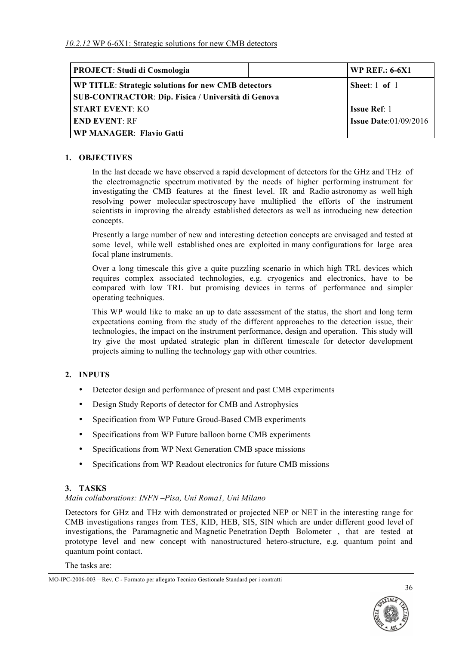| <b>PROJECT: Studi di Cosmologia</b>                       | <b>WP REF.: 6-6X1</b>           |
|-----------------------------------------------------------|---------------------------------|
| WP TITLE: Strategic solutions for new CMB detectors       | Sheet: $1$ of $1$               |
| <b>SUB-CONTRACTOR: Dip. Fisica / Università di Genova</b> |                                 |
| <b>START EVENT: KO</b>                                    | <b>Issue Ref:</b> 1             |
| <b>END EVENT: RF</b>                                      | <b>Issue Date:</b> $01/09/2016$ |
| <b>WP MANAGER: Flavio Gatti</b>                           |                                 |

### **1. OBJECTIVES**

In the last decade we have observed a rapid development of detectors for the GHz and THz of the electromagnetic spectrum motivated by the needs of higher performing instrument for investigating the CMB features at the finest level. IR and Radio astronomy as well high resolving power molecular spectroscopy have multiplied the efforts of the instrument scientists in improving the already established detectors as well as introducing new detection concepts.

Presently a large number of new and interesting detection concepts are envisaged and tested at some level, while well established ones are exploited in many configurations for large area focal plane instruments.

Over a long timescale this give a quite puzzling scenario in which high TRL devices which requires complex associated technologies, e.g. cryogenics and electronics, have to be compared with low TRL but promising devices in terms of performance and simpler operating techniques.

This WP would like to make an up to date assessment of the status, the short and long term expectations coming from the study of the different approaches to the detection issue, their technologies, the impact on the instrument performance, design and operation. This study will try give the most updated strategic plan in different timescale for detector development projects aiming to nulling the technology gap with other countries.

#### **2. INPUTS**

- Detector design and performance of present and past CMB experiments
- Design Study Reports of detector for CMB and Astrophysics
- Specification from WP Future Groud-Based CMB experiments
- Specifications from WP Future balloon borne CMB experiments
- Specifications from WP Next Generation CMB space missions
- Specifications from WP Readout electronics for future CMB missions

#### **3. TASKS**

#### *Main collaborations: INFN –Pisa, Uni Roma1, Uni Milano*

Detectors for GHz and THz with demonstrated or projected NEP or NET in the interesting range for CMB investigations ranges from TES, KID, HEB, SIS, SIN which are under different good level of investigations, the Paramagnetic and Magnetic Penetration Depth Bolometer , that are tested at prototype level and new concept with nanostructured hetero-structure, e.g. quantum point and quantum point contact.

The tasks are:



MO-IPC-2006-003 – Rev. C - Formato per allegato Tecnico Gestionale Standard per i contratti